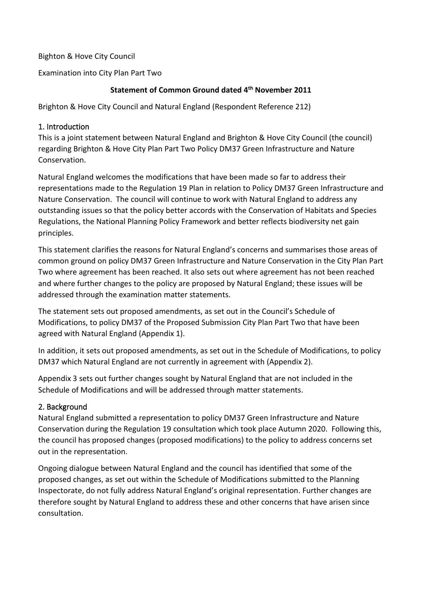Bighton & Hove City Council

Examination into City Plan Part Two

## **Statement of Common Ground dated 4th November 2011**

Brighton & Hove City Council and Natural England (Respondent Reference 212)

## 1. Introduction

This is a joint statement between Natural England and Brighton & Hove City Council (the council) regarding Brighton & Hove City Plan Part Two Policy DM37 Green Infrastructure and Nature Conservation.

Natural England welcomes the modifications that have been made so far to address their representations made to the Regulation 19 Plan in relation to Policy DM37 Green Infrastructure and Nature Conservation. The council will continue to work with Natural England to address any outstanding issues so that the policy better accords with the Conservation of Habitats and Species Regulations, the National Planning Policy Framework and better reflects biodiversity net gain principles.

This statement clarifies the reasons for Natural England's concerns and summarises those areas of common ground on policy DM37 Green Infrastructure and Nature Conservation in the City Plan Part Two where agreement has been reached. It also sets out where agreement has not been reached and where further changes to the policy are proposed by Natural England; these issues will be addressed through the examination matter statements.

The statement sets out proposed amendments, as set out in the Council's Schedule of Modifications, to policy DM37 of the Proposed Submission City Plan Part Two that have been agreed with Natural England (Appendix 1).

In addition, it sets out proposed amendments, as set out in the Schedule of Modifications, to policy DM37 which Natural England are not currently in agreement with (Appendix 2).

Appendix 3 sets out further changes sought by Natural England that are not included in the Schedule of Modifications and will be addressed through matter statements.

## 2. Background

Natural England submitted a representation to policy DM37 Green Infrastructure and Nature Conservation during the Regulation 19 consultation which took place Autumn 2020. Following this, the council has proposed changes (proposed modifications) to the policy to address concerns set out in the representation.

Ongoing dialogue between Natural England and the council has identified that some of the proposed changes, as set out within the Schedule of Modifications submitted to the Planning Inspectorate, do not fully address Natural England's original representation. Further changes are therefore sought by Natural England to address these and other concerns that have arisen since consultation.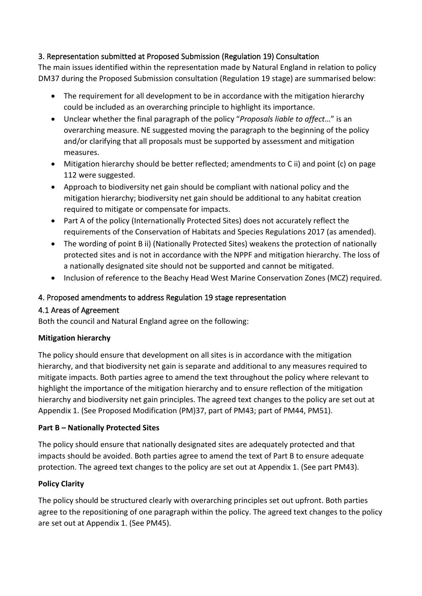# 3. Representation submitted at Proposed Submission (Regulation 19) Consultation

The main issues identified within the representation made by Natural England in relation to policy DM37 during the Proposed Submission consultation (Regulation 19 stage) are summarised below:

- The requirement for all development to be in accordance with the mitigation hierarchy could be included as an overarching principle to highlight its importance.
- Unclear whether the final paragraph of the policy "*Proposals liable to affect*…" is an overarching measure. NE suggested moving the paragraph to the beginning of the policy and/or clarifying that all proposals must be supported by assessment and mitigation measures.
- Mitigation hierarchy should be better reflected; amendments to C ii) and point (c) on page 112 were suggested.
- Approach to biodiversity net gain should be compliant with national policy and the mitigation hierarchy; biodiversity net gain should be additional to any habitat creation required to mitigate or compensate for impacts.
- Part A of the policy (Internationally Protected Sites) does not accurately reflect the requirements of the Conservation of Habitats and Species Regulations 2017 (as amended).
- The wording of point B ii) (Nationally Protected Sites) weakens the protection of nationally protected sites and is not in accordance with the NPPF and mitigation hierarchy. The loss of a nationally designated site should not be supported and cannot be mitigated.
- Inclusion of reference to the Beachy Head West Marine Conservation Zones (MCZ) required.

# 4. Proposed amendments to address Regulation 19 stage representation

## 4.1 Areas of Agreement

Both the council and Natural England agree on the following:

## **Mitigation hierarchy**

The policy should ensure that development on all sites is in accordance with the mitigation hierarchy, and that biodiversity net gain is separate and additional to any measures required to mitigate impacts. Both parties agree to amend the text throughout the policy where relevant to highlight the importance of the mitigation hierarchy and to ensure reflection of the mitigation hierarchy and biodiversity net gain principles. The agreed text changes to the policy are set out at Appendix 1. (See Proposed Modification (PM)37, part of PM43; part of PM44, PM51).

## **Part B – Nationally Protected Sites**

The policy should ensure that nationally designated sites are adequately protected and that impacts should be avoided. Both parties agree to amend the text of Part B to ensure adequate protection. The agreed text changes to the policy are set out at Appendix 1. (See part PM43).

## **Policy Clarity**

The policy should be structured clearly with overarching principles set out upfront. Both parties agree to the repositioning of one paragraph within the policy. The agreed text changes to the policy are set out at Appendix 1. (See PM45).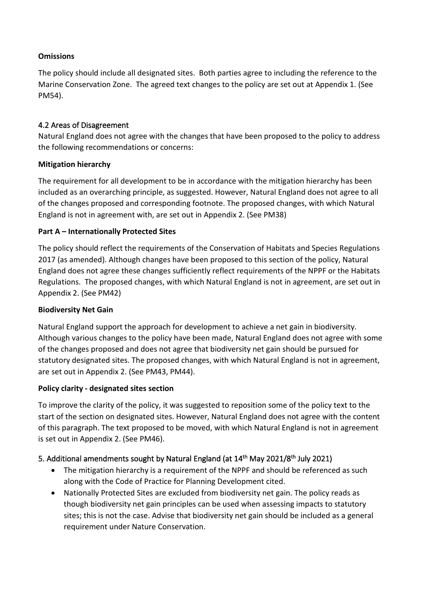## **Omissions**

The policy should include all designated sites. Both parties agree to including the reference to the Marine Conservation Zone. The agreed text changes to the policy are set out at Appendix 1. (See PM54).

### 4.2 Areas of Disagreement

Natural England does not agree with the changes that have been proposed to the policy to address the following recommendations or concerns:

#### **Mitigation hierarchy**

The requirement for all development to be in accordance with the mitigation hierarchy has been included as an overarching principle, as suggested. However, Natural England does not agree to all of the changes proposed and corresponding footnote. The proposed changes, with which Natural England is not in agreement with, are set out in Appendix 2. (See PM38)

## **Part A – Internationally Protected Sites**

The policy should reflect the requirements of the Conservation of Habitats and Species Regulations 2017 (as amended). Although changes have been proposed to this section of the policy, Natural England does not agree these changes sufficiently reflect requirements of the NPPF or the Habitats Regulations. The proposed changes, with which Natural England is not in agreement, are set out in Appendix 2. (See PM42)

#### **Biodiversity Net Gain**

Natural England support the approach for development to achieve a net gain in biodiversity. Although various changes to the policy have been made, Natural England does not agree with some of the changes proposed and does not agree that biodiversity net gain should be pursued for statutory designated sites. The proposed changes, with which Natural England is not in agreement, are set out in Appendix 2. (See PM43, PM44).

#### **Policy clarity - designated sites section**

To improve the clarity of the policy, it was suggested to reposition some of the policy text to the start of the section on designated sites. However, Natural England does not agree with the content of this paragraph. The text proposed to be moved, with which Natural England is not in agreement is set out in Appendix 2. (See PM46).

## 5. Additional amendments sought by Natural England (at 14<sup>th</sup> May 2021/8<sup>th</sup> July 2021)

- The mitigation hierarchy is a requirement of the NPPF and should be referenced as such along with the Code of Practice for Planning Development cited.
- Nationally Protected Sites are excluded from biodiversity net gain. The policy reads as though biodiversity net gain principles can be used when assessing impacts to statutory sites; this is not the case. Advise that biodiversity net gain should be included as a general requirement under Nature Conservation.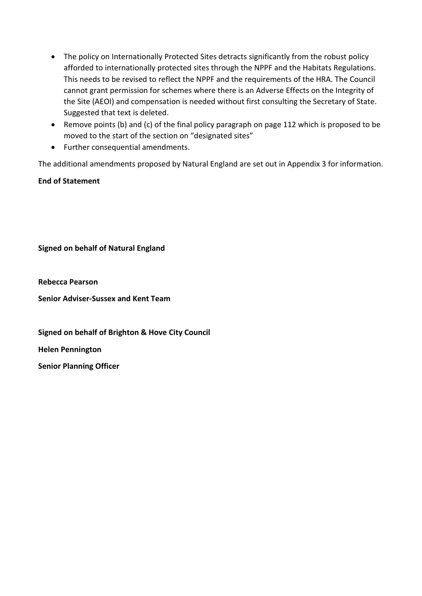- The policy on Internationally Protected Sites detracts significantly from the robust policy afforded to internationally protected sites through the NPPF and the Habitats Regulations. This needs to be revised to reflect the NPPF and the requirements of the HRA. The Council cannot grant permission for schemes where there is an Adverse Effects on the Integrity of the Site (AEOI) and compensation is needed without first consulting the Secretary of State. Suggested that text is deleted.
- Remove points (b) and (c) of the final policy paragraph on page 112 which is proposed to be moved to the start of the section on "designated sites"
- Further consequential amendments.

The additional amendments proposed by Natural England are set out in Appendix 3 for information.

## **End of Statement**

**Signed on behalf of Natural England**

**Rebecca Pearson**

**Senior Adviser-Sussex and Kent Team** 

**Signed on behalf of Brighton & Hove City Council**

**Helen Pennington**

**Senior Planning Officer**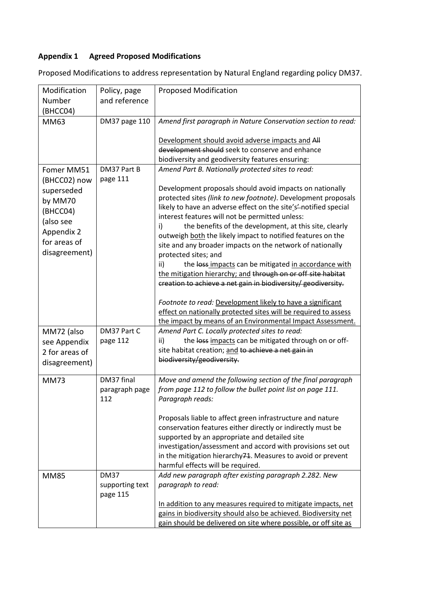# **Appendix 1 Agreed Proposed Modifications**

| Modification   | Policy, page                | <b>Proposed Modification</b>                                                      |  |  |
|----------------|-----------------------------|-----------------------------------------------------------------------------------|--|--|
| Number         | and reference               |                                                                                   |  |  |
| (BHCC04)       |                             |                                                                                   |  |  |
| <b>MM63</b>    | DM37 page 110               | Amend first paragraph in Nature Conservation section to read:                     |  |  |
|                |                             | Development should avoid adverse impacts and All                                  |  |  |
|                |                             | development should seek to conserve and enhance                                   |  |  |
|                |                             | biodiversity and geodiversity features ensuring:                                  |  |  |
| Fomer MM51     | DM37 Part B                 | Amend Part B. Nationally protected sites to read:                                 |  |  |
| (BHCC02) now   | page 111                    |                                                                                   |  |  |
| superseded     |                             | Development proposals should avoid impacts on nationally                          |  |  |
| by MM70        |                             | protected sites (link to new footnote). Development proposals                     |  |  |
| (BHCC04)       |                             | likely to have an adverse effect on the site's-notified special                   |  |  |
| (also see      |                             | interest features will not be permitted unless:                                   |  |  |
| Appendix 2     |                             | the benefits of the development, at this site, clearly<br>i)                      |  |  |
| for areas of   |                             | outweigh both the likely impact to notified features on the                       |  |  |
| disagreement)  |                             | site and any broader impacts on the network of nationally<br>protected sites; and |  |  |
|                |                             | the loss impacts can be mitigated in accordance with<br>ii)                       |  |  |
|                |                             | the mitigation hierarchy; and through on or off site habitat                      |  |  |
|                |                             | creation to achieve a net gain in biodiversity/ geodiversity.                     |  |  |
|                |                             |                                                                                   |  |  |
|                |                             | Footnote to read: Development likely to have a significant                        |  |  |
|                |                             | effect on nationally protected sites will be required to assess                   |  |  |
|                |                             | the impact by means of an Environmental Impact Assessment.                        |  |  |
| MM72 (also     | DM37 Part C                 | Amend Part C. Locally protected sites to read:                                    |  |  |
| see Appendix   | page 112                    | the loss impacts can be mitigated through on or off-<br>ii)                       |  |  |
| 2 for areas of |                             | site habitat creation; and to achieve a net gain in                               |  |  |
| disagreement)  |                             | biodiversity/geodiversity.                                                        |  |  |
| <b>MM73</b>    | DM37 final                  | Move and amend the following section of the final paragraph                       |  |  |
|                | paragraph page              | from page 112 to follow the bullet point list on page 111.                        |  |  |
|                | 112                         | Paragraph reads:                                                                  |  |  |
|                |                             |                                                                                   |  |  |
|                |                             | Proposals liable to affect green infrastructure and nature                        |  |  |
|                |                             | conservation features either directly or indirectly must be                       |  |  |
|                |                             | supported by an appropriate and detailed site                                     |  |  |
|                |                             | investigation/assessment and accord with provisions set out                       |  |  |
|                |                             | in the mitigation hierarchy <sub>71</sub> . Measures to avoid or prevent          |  |  |
|                |                             | harmful effects will be required.                                                 |  |  |
| <b>MM85</b>    | <b>DM37</b>                 | Add new paragraph after existing paragraph 2.282. New                             |  |  |
|                | supporting text<br>page 115 | paragraph to read:                                                                |  |  |
|                |                             | In addition to any measures required to mitigate impacts, net                     |  |  |
|                |                             | gains in biodiversity should also be achieved. Biodiversity net                   |  |  |
|                |                             | gain should be delivered on site where possible, or off site as                   |  |  |

Proposed Modifications to address representation by Natural England regarding policy DM37.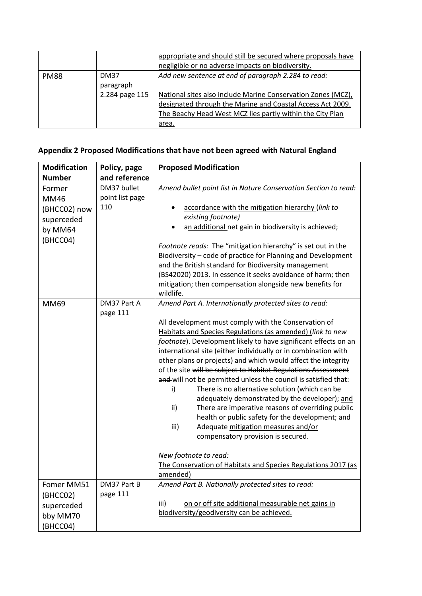|             |                   | appropriate and should still be secured where proposals have<br>negligible or no adverse impacts on biodiversity.                                                                                |  |
|-------------|-------------------|--------------------------------------------------------------------------------------------------------------------------------------------------------------------------------------------------|--|
| <b>PM88</b> | DM37<br>paragraph | Add new sentence at end of paragraph 2.284 to read:                                                                                                                                              |  |
|             | 2.284 page 115    | National sites also include Marine Conservation Zones (MCZ),<br>designated through the Marine and Coastal Access Act 2009.<br>The Beachy Head West MCZ lies partly within the City Plan<br>area. |  |

# **Appendix 2 Proposed Modifications that have not been agreed with Natural England**

| <b>Modification</b> | Policy, page    | <b>Proposed Modification</b>                                                                                                  |  |
|---------------------|-----------------|-------------------------------------------------------------------------------------------------------------------------------|--|
| <b>Number</b>       | and reference   |                                                                                                                               |  |
| Former              | DM37 bullet     | Amend bullet point list in Nature Conservation Section to read:                                                               |  |
| <b>MM46</b>         | point list page |                                                                                                                               |  |
| (BHCC02) now        | 110             | accordance with the mitigation hierarchy (link to                                                                             |  |
| superceded          |                 | existing footnote)                                                                                                            |  |
| by MM64             |                 | an additional net gain in biodiversity is achieved;                                                                           |  |
| (BHCC04)            |                 |                                                                                                                               |  |
|                     |                 | Footnote reads: The "mitigation hierarchy" is set out in the                                                                  |  |
|                     |                 | Biodiversity - code of practice for Planning and Development                                                                  |  |
|                     |                 | and the British standard for Biodiversity management                                                                          |  |
|                     |                 | (BS42020) 2013. In essence it seeks avoidance of harm; then                                                                   |  |
|                     |                 | mitigation; then compensation alongside new benefits for<br>wildlife.                                                         |  |
| <b>MM69</b>         | DM37 Part A     | Amend Part A. Internationally protected sites to read:                                                                        |  |
|                     | page 111        |                                                                                                                               |  |
|                     |                 | All development must comply with the Conservation of                                                                          |  |
|                     |                 | Habitats and Species Regulations (as amended) (link to new<br>footnote). Development likely to have significant effects on an |  |
|                     |                 | international site (either individually or in combination with                                                                |  |
|                     |                 | other plans or projects) and which would affect the integrity                                                                 |  |
|                     |                 | of the site will be subject to Habitat Regulations Assessment                                                                 |  |
|                     |                 | and-will not be permitted unless the council is satisfied that:                                                               |  |
|                     |                 | i)<br>There is no alternative solution (which can be                                                                          |  |
|                     |                 | adequately demonstrated by the developer); and                                                                                |  |
|                     |                 | There are imperative reasons of overriding public<br>ii)                                                                      |  |
|                     |                 | health or public safety for the development; and                                                                              |  |
|                     |                 | iii)<br>Adequate mitigation measures and/or                                                                                   |  |
|                     |                 | compensatory provision is secured.                                                                                            |  |
|                     |                 | New footnote to read:                                                                                                         |  |
|                     |                 | The Conservation of Habitats and Species Regulations 2017 (as                                                                 |  |
|                     |                 | amended)                                                                                                                      |  |
| Fomer MM51          | DM37 Part B     | Amend Part B. Nationally protected sites to read:                                                                             |  |
| (BHCC02)            | page 111        |                                                                                                                               |  |
| superceded          |                 | iii)<br>on or off site additional measurable net gains in                                                                     |  |
| bby MM70            |                 | biodiversity/geodiversity can be achieved.                                                                                    |  |
| (BHCC04)            |                 |                                                                                                                               |  |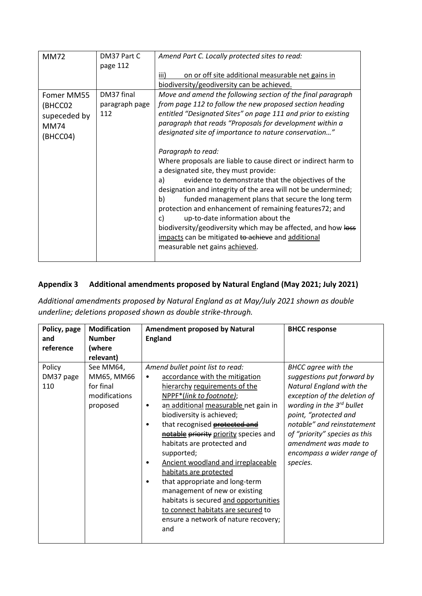| <b>MM72</b>  | DM37 Part C    | Amend Part C. Locally protected sites to read:                                                          |  |
|--------------|----------------|---------------------------------------------------------------------------------------------------------|--|
|              | page 112       |                                                                                                         |  |
|              |                | on or off site additional measurable net gains in<br>iii)                                               |  |
|              |                | biodiversity/geodiversity can be achieved.                                                              |  |
| Fomer MM55   | DM37 final     | Move and amend the following section of the final paragraph                                             |  |
| (BHCC02      | paragraph page | from page 112 to follow the new proposed section heading                                                |  |
| supeceded by | 112            | entitled "Designated Sites" on page 111 and prior to existing                                           |  |
| <b>MM74</b>  |                | paragraph that reads "Proposals for development within a                                                |  |
| (BHCC04)     |                | designated site of importance to nature conservation"                                                   |  |
|              |                |                                                                                                         |  |
|              |                | Paragraph to read:                                                                                      |  |
|              |                | Where proposals are liable to cause direct or indirect harm to<br>a designated site, they must provide: |  |
|              |                | evidence to demonstrate that the objectives of the<br>a)                                                |  |
|              |                | designation and integrity of the area will not be undermined;                                           |  |
|              |                | b)<br>funded management plans that secure the long term                                                 |  |
|              |                | protection and enhancement of remaining features72; and                                                 |  |
|              |                | up-to-date information about the<br>C)                                                                  |  |
|              |                | biodiversity/geodiversity which may be affected, and how loss                                           |  |
|              |                | impacts can be mitigated to achieve and additional                                                      |  |
|              |                | measurable net gains achieved.                                                                          |  |
|              |                |                                                                                                         |  |

# **Appendix 3 Additional amendments proposed by Natural England (May 2021; July 2021)**

*Additional amendments proposed by Natural England as at May/July 2021 shown as double underline; deletions proposed shown as double strike-through.* 

| Policy, page               | <b>Modification</b>                                               | <b>Amendment proposed by Natural</b>                                                                                                                                                                                                                                                                                                                                                                                                                                                                                                                                                                                                 | <b>BHCC response</b>                                                                                                                                                                                                                                                                                                     |
|----------------------------|-------------------------------------------------------------------|--------------------------------------------------------------------------------------------------------------------------------------------------------------------------------------------------------------------------------------------------------------------------------------------------------------------------------------------------------------------------------------------------------------------------------------------------------------------------------------------------------------------------------------------------------------------------------------------------------------------------------------|--------------------------------------------------------------------------------------------------------------------------------------------------------------------------------------------------------------------------------------------------------------------------------------------------------------------------|
| and                        | <b>Number</b>                                                     | <b>England</b>                                                                                                                                                                                                                                                                                                                                                                                                                                                                                                                                                                                                                       |                                                                                                                                                                                                                                                                                                                          |
| reference                  | (where                                                            |                                                                                                                                                                                                                                                                                                                                                                                                                                                                                                                                                                                                                                      |                                                                                                                                                                                                                                                                                                                          |
|                            | relevant)                                                         |                                                                                                                                                                                                                                                                                                                                                                                                                                                                                                                                                                                                                                      |                                                                                                                                                                                                                                                                                                                          |
| Policy<br>DM37 page<br>110 | See MM64,<br>MM65, MM66<br>for final<br>modifications<br>proposed | Amend bullet point list to read:<br>accordance with the mitigation<br>٠<br>hierarchy requirements of the<br>NPPF*(link to footnote);<br>an additional measurable net gain in<br>٠<br>biodiversity is achieved;<br>that recognised protected and<br>$\bullet$<br>notable priority priority species and<br>habitats are protected and<br>supported;<br>Ancient woodland and irreplaceable<br>٠<br>habitats are protected<br>that appropriate and long-term<br>$\bullet$<br>management of new or existing<br>habitats is secured and opportunities<br>to connect habitats are secured to<br>ensure a network of nature recovery;<br>and | <b>BHCC</b> agree with the<br>suggestions put forward by<br>Natural England with the<br>exception of the deletion of<br>wording in the 3 <sup>rd</sup> bullet<br>point, "protected and<br>notable" and reinstatement<br>of "priority" species as this<br>amendment was made to<br>encompass a wider range of<br>species. |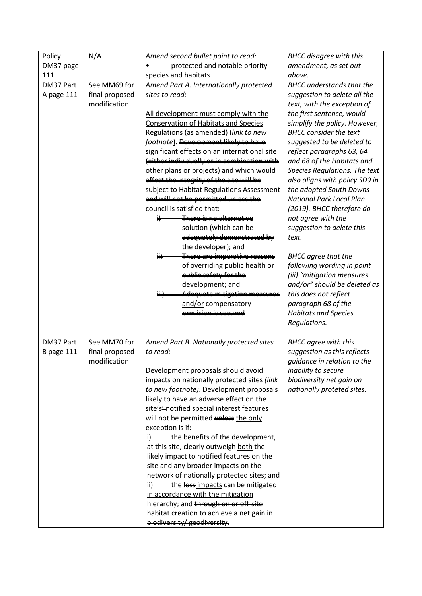| Policy     | N/A            | Amend second bullet point to read:                                                 | <b>BHCC</b> disagree with this   |
|------------|----------------|------------------------------------------------------------------------------------|----------------------------------|
| DM37 page  |                | protected and notable priority                                                     | amendment, as set out            |
| 111        |                | species and habitats                                                               | above.                           |
| DM37 Part  | See MM69 for   | Amend Part A. Internationally protected                                            | <b>BHCC</b> understands that the |
| A page 111 | final proposed | sites to read:                                                                     | suggestion to delete all the     |
|            | modification   |                                                                                    | text, with the exception of      |
|            |                | All development must comply with the                                               | the first sentence, would        |
|            |                | <b>Conservation of Habitats and Species</b>                                        | simplify the policy. However,    |
|            |                | Regulations (as amended) (link to new                                              | <b>BHCC</b> consider the text    |
|            |                | footnote). Development likely to have                                              | suggested to be deleted to       |
|            |                | significant effects on an international site                                       | reflect paragraphs 63, 64        |
|            |                | (either individually or in combination with                                        | and 68 of the Habitats and       |
|            |                | other plans or projects) and which would                                           | Species Regulations. The text    |
|            |                | affect the integrity of the site will be                                           | also aligns with policy SD9 in   |
|            |                | subject to Habitat Regulations Assessment                                          | the adopted South Downs          |
|            |                | and will not be permitted unless the                                               | <b>National Park Local Plan</b>  |
|            |                | council is satisfied that:                                                         | (2019). BHCC therefore do        |
|            |                | There is no alternative<br>$+$                                                     | not agree with the               |
|            |                | solution (which can be                                                             | suggestion to delete this        |
|            |                | adequately demonstrated by                                                         | text.                            |
|            |                | the developer); and                                                                |                                  |
|            |                | There are imperative reasons<br>$\ddot{H}$                                         | <b>BHCC</b> agree that the       |
|            |                | of overriding public health or                                                     | following wording in point       |
|            |                | public safety for the                                                              | (iii) "mitigation measures       |
|            |                | development; and                                                                   | and/or" should be deleted as     |
|            |                | <b>Adequate mitigation measures</b><br>$\overrightarrow{iii}$                      | this does not reflect            |
|            |                | and/or compensatory                                                                | paragraph 68 of the              |
|            |                | provision is secured                                                               | <b>Habitats and Species</b>      |
|            |                |                                                                                    | Regulations.                     |
|            |                |                                                                                    |                                  |
| DM37 Part  | See MM70 for   | Amend Part B. Nationally protected sites                                           | <b>BHCC</b> agree with this      |
| B page 111 | final proposed | to read:                                                                           | suggestion as this reflects      |
|            | modification   |                                                                                    | quidance in relation to the      |
|            |                | Development proposals should avoid                                                 | inability to secure              |
|            |                | impacts on nationally protected sites (link                                        | biodiversity net gain on         |
|            |                | to new footnote). Development proposals<br>likely to have an adverse effect on the | nationally proteted sites.       |
|            |                | site's'-notified special interest features                                         |                                  |
|            |                | will not be permitted unless the only                                              |                                  |
|            |                | exception is if:                                                                   |                                  |
|            |                | the benefits of the development,<br>i)                                             |                                  |
|            |                | at this site, clearly outweigh both the                                            |                                  |
|            |                | likely impact to notified features on the                                          |                                  |
|            |                | site and any broader impacts on the                                                |                                  |
|            |                | network of nationally protected sites; and                                         |                                  |
|            |                | the loss impacts can be mitigated<br>ii)                                           |                                  |
|            |                | in accordance with the mitigation                                                  |                                  |
|            |                | hierarchy; and through on or off site                                              |                                  |
|            |                | habitat creation to achieve a net gain in                                          |                                  |
|            |                | biodiversity/ geodiversity.                                                        |                                  |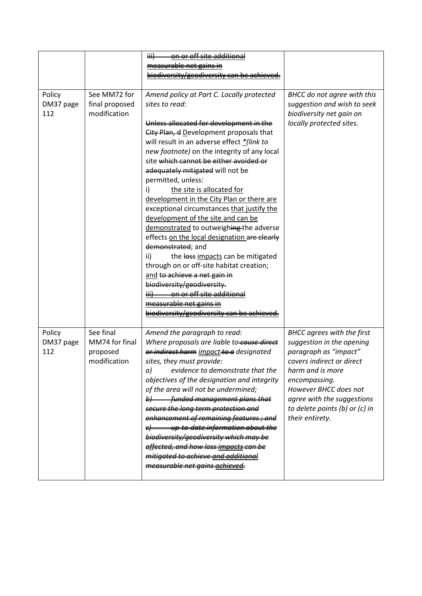|                            |                                                         | on or off site additional<br><del>iii)</del>                                                                                                                                                                                                                                                                                                                                                                                                                                                                                                                                                                                                                                                                                                                                                                                                                                                           |                                                                                                                                                                                                                                                                       |
|----------------------------|---------------------------------------------------------|--------------------------------------------------------------------------------------------------------------------------------------------------------------------------------------------------------------------------------------------------------------------------------------------------------------------------------------------------------------------------------------------------------------------------------------------------------------------------------------------------------------------------------------------------------------------------------------------------------------------------------------------------------------------------------------------------------------------------------------------------------------------------------------------------------------------------------------------------------------------------------------------------------|-----------------------------------------------------------------------------------------------------------------------------------------------------------------------------------------------------------------------------------------------------------------------|
|                            |                                                         | measurable net gains in                                                                                                                                                                                                                                                                                                                                                                                                                                                                                                                                                                                                                                                                                                                                                                                                                                                                                |                                                                                                                                                                                                                                                                       |
|                            |                                                         | biodiversity/geodiversity can be achieved.                                                                                                                                                                                                                                                                                                                                                                                                                                                                                                                                                                                                                                                                                                                                                                                                                                                             |                                                                                                                                                                                                                                                                       |
| Policy<br>DM37 page<br>112 | See MM72 for<br>final proposed<br>modification          | Amend policy at Part C. Locally protected<br>sites to read:<br>Unless allocated for development in the<br>City Plan, d Development proposals that<br>will result in an adverse effect */link to<br>new footnote) on the integrity of any local<br>site which cannot be either avoided or<br>adequately mitigated will not be<br>permitted, unless:<br>the site is allocated for<br>i)<br>development in the City Plan or there are<br>exceptional circumstances that justify the<br>development of the site and can be<br>demonstrated to outweighing the adverse<br>effects on the local designation are clearly<br>demonstrated; and<br>ii)<br>the loss impacts can be mitigated<br>through on or off-site habitat creation;<br>and to achieve a net gain in<br>biodiversity/geodiversity.<br>iii) on or off site additional<br>measurable net gains in<br>biodiversity/geodiversity can be achieved | BHCC do not agree with this<br>suggestion and wish to seek<br>biodiversity net gain on<br>locally protected sites.                                                                                                                                                    |
| Policy<br>DM37 page<br>112 | See final<br>MM74 for final<br>proposed<br>modification | Amend the paragraph to read:<br>Where proposals are liable to-cause direct<br>or indirect harm impact to a designated<br>sites, they must provide:<br>evidence to demonstrate that the<br>a)<br>objectives of the designation and integrity<br>of the area will not be undermined;<br>b) funded management plans that<br>secure the long term protection and<br>enhancement of remaining features; and<br>$\epsilon$ = up to date information about the<br>biodiversity/geodiversity which may be<br>affected, and how loss impacts can be<br>mitigated to achieve and additional<br>measurable net gains achieved.                                                                                                                                                                                                                                                                                    | <b>BHCC agrees with the first</b><br>suggestion in the opening<br>paragraph as "impact"<br>covers indirect or direct<br>harm and is more<br>encompassing.<br>However BHCC does not<br>agree with the suggestions<br>to delete points (b) or (c) in<br>their entirety. |